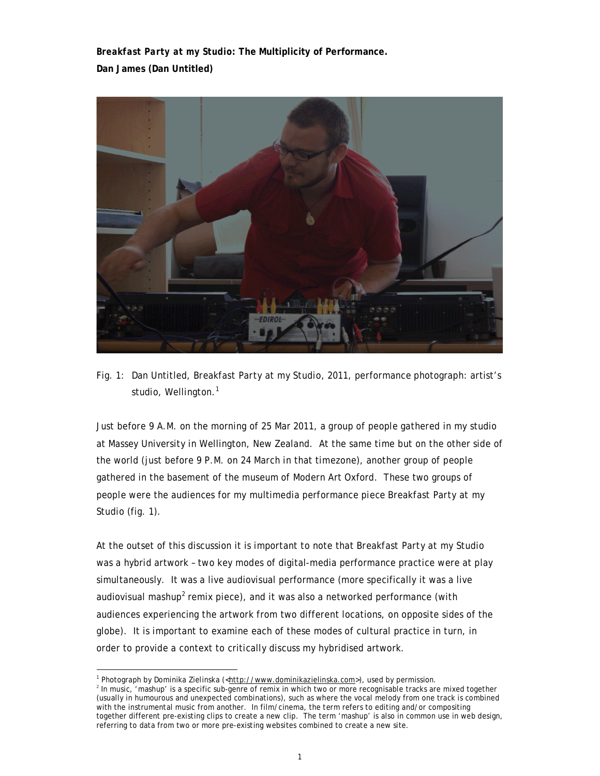*Breakfast Party at my Studio***: The Multiplicity of Performance. Dan James (Dan Untitled)** 



Fig. 1: Dan Untitled, *Breakfast Party at my Studio,* 2011, performance photograph: artist's studio, Wellington.<sup>1</sup>

Just before 9 A.M. on the morning of 25 Mar 2011, a group of people gathered in my studio at Massey University in Wellington, New Zealand. At the same time but on the other side of the world (just before 9 P.M. on 24 March in that timezone), another group of people gathered in the basement of the museum of Modern Art Oxford. These two groups of people were the audiences for my multimedia performance piece *Breakfast Party at my Studio* (fig. 1).

At the outset of this discussion it is important to note that *Breakfast Party at my Studio* was a hybrid artwork – two key modes of digital-media performance practice were at play simultaneously. It was a live audiovisual performance (more specifically it was a live audiovisual mashup<sup>2</sup> remix piece), and it was also a networked performance (with audiences experiencing the artwork from two different locations, on opposite sides of the globe). It is important to examine each of these modes of cultural practice in turn, in order to provide a context to critically discuss my hybridised artwork.

<sup>&</sup>lt;sup>1</sup> Photograph by Dominika Zielinska (<http://www.dominikazielinska.com>), used by permission.

<sup>&</sup>lt;sup>2</sup> In music, 'mashup' is a specific sub-genre of remix in which two or more recognisable tracks are mixed together (usually in humourous and unexpected combinations), such as where the vocal melody from one track is combined with the instrumental music from another. In film/cinema, the term refers to editing and/or compositing together different pre-existing clips to create a new clip. The term 'mashup' is also in common use in web design, referring to data from two or more pre-existing websites combined to create a new site.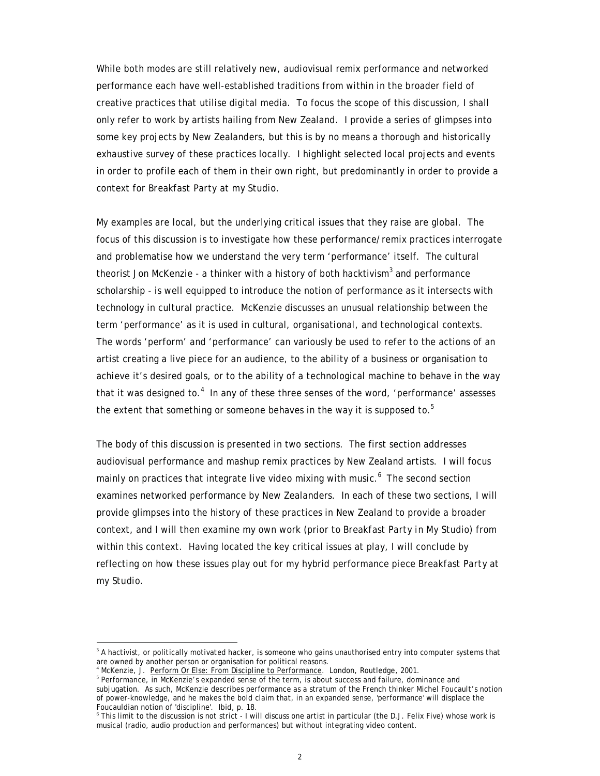While both modes are still relatively new, audiovisual remix performance and networked performance each have well-established traditions from within in the broader field of creative practices that utilise digital media. To focus the scope of this discussion, I shall only refer to work by artists hailing from New Zealand. I provide a series of glimpses into some key projects by New Zealanders, but this is by no means a thorough and historically exhaustive survey of these practices locally. I highlight selected local projects and events in order to profile each of them in their own right, but predominantly in order to provide a context for *Breakfast Party at my Studio*.

My examples are local, but the underlying critical issues that they raise are global. The focus of this discussion is to investigate how these performance/remix practices interrogate and problematise how we understand the very term 'performance' itself. The cultural theorist Jon McKenzie - a thinker with a history of both hacktivism<sup>3</sup> and performance scholarship - is well equipped to introduce the notion of performance as it intersects with technology in cultural practice. McKenzie discusses an unusual relationship between the term 'performance' as it is used in cultural, organisational, and technological contexts. The words 'perform' and 'performance' can variously be used to refer to the actions of an artist creating a live piece for an audience, to the ability of a business or organisation to achieve it's desired goals, or to the ability of a technological machine to behave in the way that it was designed to. $4$  In any of these three senses of the word, 'performance' assesses the extent that something or someone behaves in the way it is supposed to.<sup>5</sup>

The body of this discussion is presented in two sections. The first section addresses audiovisual performance and mashup remix practices by New Zealand artists. I will focus mainly on practices that integrate live video mixing with music.<sup>6</sup> The second section examines networked performance by New Zealanders. In each of these two sections, I will provide glimpses into the history of these practices in New Zealand to provide a broader context, and I will then examine my own work (prior to *Breakfast Party in My Studio*) from within this context. Having located the key critical issues at play, I will conclude by reflecting on how these issues play out for my hybrid performance piece *Breakfast Party at my Studio*.

<sup>&</sup>lt;sup>3</sup> A hactivist, or politically motivated hacker, is someone who gains unauthorised entry into computer systems that are owned by another person or organisation for political reasons.

<sup>&</sup>lt;sup>4</sup> McKenzie, J. Perform Or Else: From Discipline to Performance. London, Routledge, 2001.

<sup>&</sup>lt;sup>5</sup> Performance, in McKenzie's expanded sense of the term, is about success and failure, dominance and subjugation. As such, McKenzie describes performance as a stratum of the French thinker Michel Foucault's notion of power-knowledge, and he makes the bold claim that, in an expanded sense, 'performance' will displace the Foucauldian notion of 'discipline'. Ibid, p. 18.

<sup>6</sup> This limit to the discussion is not strict - I will discuss one artist in particular (the D.J. Felix Five) whose work is musical (radio, audio production and performances) but without integrating video content.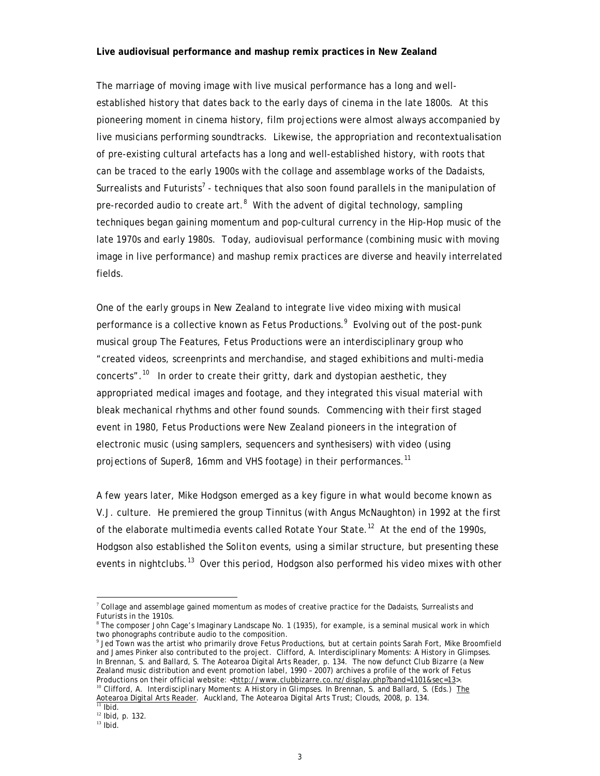## **Live audiovisual performance and mashup remix practices in New Zealand**

The marriage of moving image with live musical performance has a long and wellestablished history that dates back to the early days of cinema in the late 1800s. At this pioneering moment in cinema history, film projections were almost always accompanied by live musicians performing soundtracks. Likewise, the appropriation and recontextualisation of pre-existing cultural artefacts has a long and well-established history, with roots that can be traced to the early 1900s with the collage and assemblage works of the Dadaists, Surrealists and Futurists<sup>7</sup> - techniques that also soon found parallels in the manipulation of pre-recorded audio to create art.<sup>8</sup> With the advent of digital technology, sampling techniques began gaining momentum and pop-cultural currency in the Hip-Hop music of the late 1970s and early 1980s. Today, audiovisual performance (combining music with moving image in live performance) and mashup remix practices are diverse and heavily interrelated fields.

One of the early groups in New Zealand to integrate live video mixing with musical performance is a collective known as Fetus Productions.<sup>9</sup> Evolving out of the post-punk musical group The Features, Fetus Productions were an interdisciplinary group who "created videos, screenprints and merchandise, and staged exhibitions and multi-media concerts".<sup>10</sup> In order to create their gritty, dark and dystopian aesthetic, they appropriated medical images and footage, and they integrated this visual material with bleak mechanical rhythms and other found sounds. Commencing with their first staged event in 1980, Fetus Productions were New Zealand pioneers in the integration of electronic music (using samplers, sequencers and synthesisers) with video (using projections of Super8, 16mm and VHS footage) in their performances.<sup>11</sup>

A few years later, Mike Hodgson emerged as a key figure in what would become known as V.J. culture. He premiered the group Tinnitus (with Angus McNaughton) in 1992 at the first of the elaborate multimedia events called *Rotate Your State*. 12 At the end of the 1990s, Hodgson also established the *Soliton* events, using a similar structure, but presenting these events in nightclubs.<sup>13</sup> Over this period, Hodgson also performed his video mixes with other

 $7$  Collage and assemblage gained momentum as modes of creative practice for the Dadaists, Surrealists and Futurists in the 1910s.

<sup>8</sup> The composer John Cage's *Imaginary Landscape No. 1* (1935), for example, is a seminal musical work in which two phonographs contribute audio to the composition.

<sup>9</sup> Jed Town was the artist who primarily drove Fetus Productions, but at certain points Sarah Fort, Mike Broomfield and James Pinker also contributed to the project. Clifford, A. Interdisciplinary Moments: A History in Glimpses. In Brennan, S. and Ballard, S. The Aotearoa Digital Arts Reader, p. 134. The now defunct *Club Bizarre* (a New Zealand music distribution and event promotion label, 1990 – 2007) archives a profile of the work of Fetus Productions on their official website: <http://www.clubbizarre.co.nz/display.php?band=1101&sec=13>. <sup>10</sup> Clifford, A. *Interdisciplinary Moments: A History in Glimpses*. In Brennan, S. and Ballard, S. (Eds.) The Aotearoa Digital Arts Reader. Auckland, The Aotearoa Digital Arts Trust; Clouds, 2008, p. 134.

 $11$  Ibid.

<sup>12</sup> Ibid, p. 132.

 $13$  Ibid.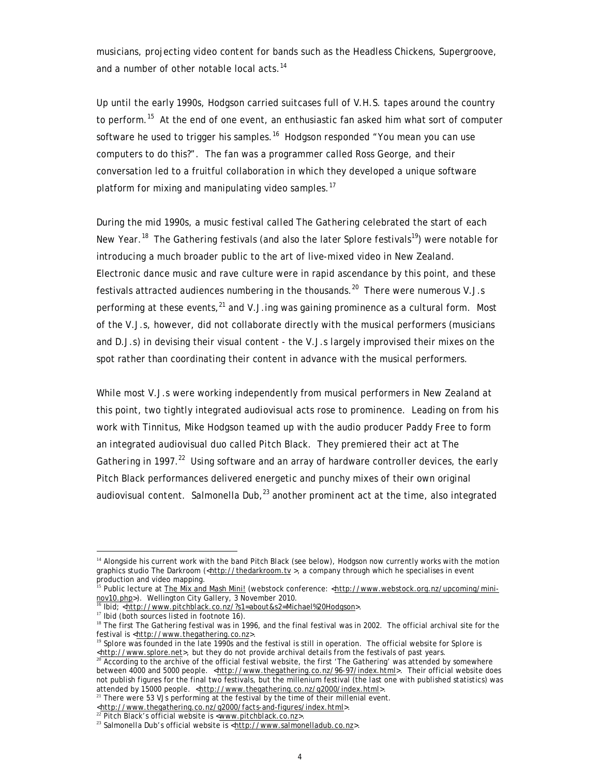musicians, projecting video content for bands such as the Headless Chickens, Supergroove, and a number of other notable local acts.<sup>14</sup>

Up until the early 1990s, Hodgson carried suitcases full of V.H.S. tapes around the country to perform.<sup>15</sup> At the end of one event, an enthusiastic fan asked him what sort of computer software he used to trigger his samples.<sup>16</sup> Hodgson responded "You mean you can use computers to do this?". The fan was a programmer called Ross George, and their conversation led to a fruitful collaboration in which they developed a unique software platform for mixing and manipulating video samples. $^{17}$ 

During the mid 1990s, a music festival called *The Gathering* celebrated the start of each New Year.<sup>18</sup> *The Gathering* festivals (and also the later *Splore* festivals<sup>19</sup>) were notable for introducing a much broader public to the art of live-mixed video in New Zealand. Electronic dance music and rave culture were in rapid ascendance by this point, and these festivals attracted audiences numbering in the thousands.<sup>20</sup> There were numerous V.J.s performing at these events,  $^{21}$  and V.J.ing was gaining prominence as a cultural form. Most of the V.J.s, however, did not collaborate directly with the musical performers (musicians and D.J.s) in devising their visual content - the V.J.s largely improvised their mixes on the spot rather than coordinating their content in advance with the musical performers.

While most V.J.s were working independently from musical performers in New Zealand at this point, two tightly integrated audiovisual acts rose to prominence. Leading on from his work with Tinnitus, Mike Hodgson teamed up with the audio producer Paddy Free to form an integrated audiovisual duo called Pitch Black. They premiered their act at *The Gathering* in 1997.<sup>22</sup> Using software and an array of hardware controller devices, the early Pitch Black performances delivered energetic and punchy mixes of their own original audiovisual content. Salmonella Dub, $^{23}$  another prominent act at the time, also integrated

 $14$  Alongside his current work with the band Pitch Black (see below), Hodgson now currently works with the motion graphics studio The Darkroom (<http://thedarkroom.tv >, a company through which he specialises in event production and video mapping.

<sup>&</sup>lt;sup>15</sup> Public lecture at **The Mix and Mash Mini!** (webstock conference: <http://www.webstock.org.nz/upcoming/mininov10.php>). Wellington City Gallery, 3 November 2010.

<sup>16</sup> Ibid; <http://www.pitchblack.co.nz/?s1=about&s2=Michael%20Hodgson>.

<sup>&</sup>lt;sup>17</sup> Ibid (both sources listed in footnote 16).

<sup>&</sup>lt;sup>18</sup> The first *The Gathering* festival was in 1996, and the final festival was in 2002. The official archival site for the festival is <http://www.thegathering.co.nz>

<sup>19</sup> *Splore* was founded in the late 1990s and the festival is still in operation. The official website for *Splore* is shttp://www.splore.net>, but they do not provide archival details from the festivals of past years.

According to the archive of the official festival website, the first 'The Gathering' was attended by somewhere between 4000 and 5000 people. <http://www.thegathering.co.nz/96-97/index.html>. Their official website does not publish figures for the final two festivals, but the millenium festival (the last one with published statistics) was attended by 15000 people. <http://www.thegathering.co.nz/g2000/index.html>.

<sup>&</sup>lt;sup>21</sup> There were 53 VJs performing at the festival by the time of their millenial event.

<sup>&</sup>lt;http://www.thegathering.co.nz/g2000/facts-and-figures/index.html>.

<sup>&</sup>lt;sup>22</sup> Pitch Black's official website is <www.pitchblack.co.nz>.

<sup>&</sup>lt;sup>23</sup> Salmonella Dub's official website is <http://www.salmonelladub.co.nz>.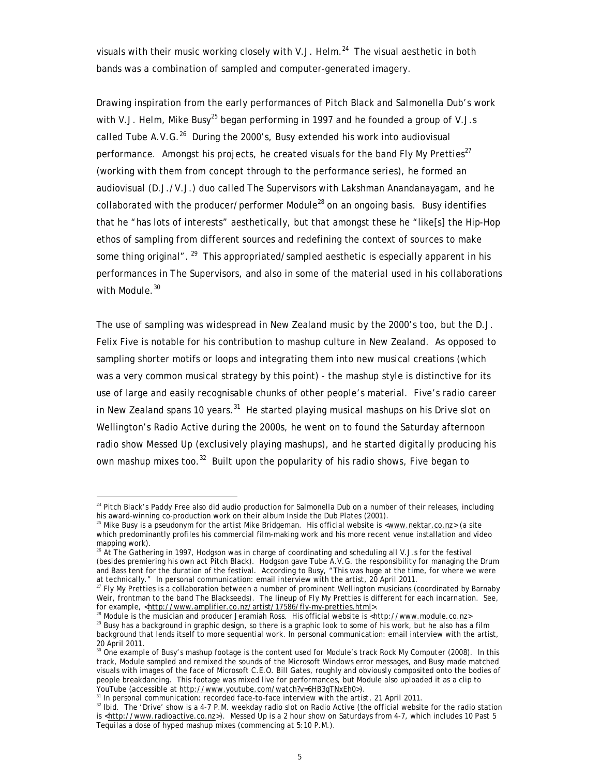visuals with their music working closely with V.J. Helm.<sup>24</sup> The visual aesthetic in both bands was a combination of sampled and computer-generated imagery.

Drawing inspiration from the early performances of Pitch Black and Salmonella Dub's work with V.J. Helm, Mike Busy<sup>25</sup> began performing in 1997 and he founded a group of V.J.s called Tube A.V.G. $^{26}$  During the 2000's, Busy extended his work into audiovisual performance. Amongst his projects, he created visuals for the band FIV My Pretties<sup>27</sup> (working with them from concept through to the performance series), he formed an audiovisual (D.J./V.J.) duo called The Supervisors with Lakshman Anandanayagam, and he collaborated with the producer/performer Module $^{28}$  on an ongoing basis. Busy identifies that he "has lots of interests" aesthetically, but that amongst these he "like[s] the Hip-Hop ethos of sampling from different sources and redefining the context of sources to make some thing original". <sup>29</sup> This appropriated/sampled aesthetic is especially apparent in his performances in The Supervisors, and also in some of the material used in his collaborations with Module.<sup>30</sup>

The use of sampling was widespread in New Zealand music by the 2000's too, but the D.J. Felix Five is notable for his contribution to mashup culture in New Zealand. As opposed to sampling shorter motifs or loops and integrating them into new musical creations (which was a very common musical strategy by this point) - the mashup style is distinctive for its use of large and easily recognisable chunks of other people's material. Five's radio career in New Zealand spans 10 years.<sup>31</sup> He started playing musical mashups on his *Drive* slot on Wellington's Radio Active during the 2000s, he went on to found the Saturday afternoon radio show *Messed Up* (exclusively playing mashups), and he started digitally producing his own mashup mixes too.<sup>32</sup> Built upon the popularity of his radio shows, Five began to

<sup>&</sup>lt;sup>24</sup> Pitch Black's Paddy Free also did audio production for Salmonella Dub on a number of their releases, including his award-winning co-production work on their album *Inside the Dub Plates* (2001).

<sup>&</sup>lt;sup>25</sup> Mike Busy is a pseudonym for the artist Mike Bridgeman. His official website is <www.nektar.co.nz> (a site which predominantly profiles his commercial film-making work and his more recent venue installation and video mapping work).

 $26$  At The Gathering in 1997, Hodgson was in charge of coordinating and scheduling all V.J.s for the festival (besides premiering his own act Pitch Black). Hodgson gave Tube A.V.G. the responsibility for managing the Drum and Bass tent for the duration of the festival. According to Busy, "This was huge at the time, for where we were at technically." In personal communication: email interview with the artist, 20 April 2011.

<sup>&</sup>lt;sup>27</sup> Fly My Pretties is a collaboration between a number of prominent Wellington musicians (coordinated by Barnaby Weir, frontman to the band The Blackseeds). The lineup of Fly My Pretties is different for each incarnation. See, for example, <http://www.amplifier.co.nz/artist/17586/fly-my-pretties.html>.

<sup>&</sup>lt;sup>8</sup> Module is the musician and producer Jeramiah Ross. His official website is <http://www.module.co.nz>

<sup>&</sup>lt;sup>29</sup> Busy has a background in graphic design, so there is a graphic look to some of his work, but he also has a film background that lends itself to more sequential work. In personal communication: email interview with the artist, 20 April 2011.

<sup>30</sup> One example of Busy's mashup footage is the content used for Module's track *Rock My Computer* (2008). In this track, Module sampled and remixed the sounds of the Microsoft Windows error messages, and Busy made matched visuals with images of the face of Microsoft C.E.O. Bill Gates, roughly and obviously composited onto the bodies of people breakdancing. This footage was mixed live for performances, but Module also uploaded it as a clip to .<br>YouTube (accessible at http://www.youtube.com/watch?v=6HB3gTNxEh0>).

 $31$  In personal communication: recorded face-to-face interview with the artist, 21 April 2011.

<sup>&</sup>lt;sup>32</sup> Ibid. The 'Drive' show is a 4-7 P.M. weekday radio slot on Radio Active (the official website for the radio station is <http://www.radioactive.co.nz</u>>). Messed Up is a 2 hour show on Saturdays from 4-7, which includes 10 Past 5 *Tequilas* a dose of hyped mashup mixes (commencing at 5:10 P.M.).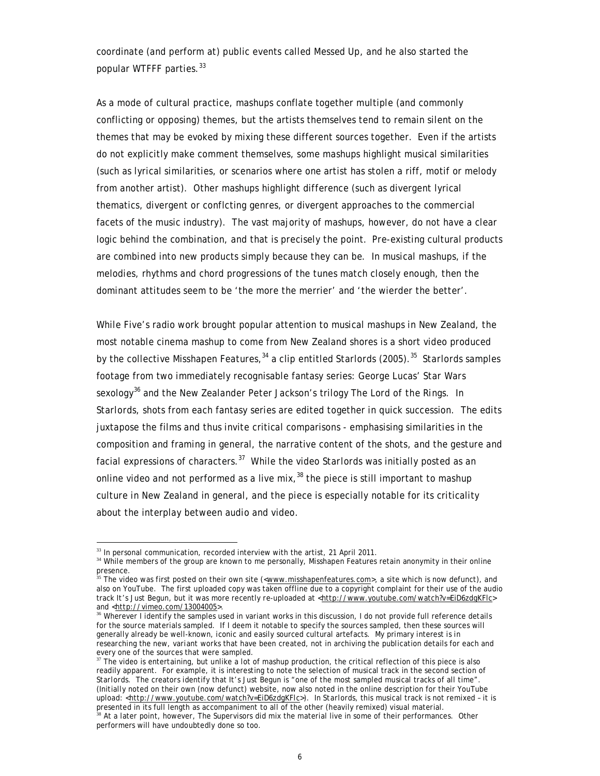coordinate (and perform at) public events called *Messed Up*, and he also started the popular *WTFFF* parties.<sup>33</sup>

As a mode of cultural practice, mashups conflate together multiple (and commonly conflicting or opposing) themes, but the artists themselves tend to remain silent on the themes that may be evoked by mixing these different sources together. Even if the artists do not explicitly make comment themselves, some mashups highlight musical similarities (such as lyrical similarities, or scenarios where one artist has stolen a riff, motif or melody from another artist). Other mashups highlight difference (such as divergent lyrical thematics, divergent or conflcting genres, or divergent approaches to the commercial facets of the music industry). The vast majority of mashups, however, do not have a clear logic behind the combination, and that is precisely the point. Pre-existing cultural products are combined into new products simply because they can be. In musical mashups, if the melodies, rhythms and chord progressions of the tunes match closely enough, then the dominant attitudes seem to be 'the more the merrier' and 'the wierder the better'.

While Five's radio work brought popular attention to musical mashups in New Zealand, the most notable cinema mashup to come from New Zealand shores is a short video produced by the collective Misshapen Features,34 a clip entitled *Starlords* (2005).35 *Starlords* samples footage from two immediately recognisable fantasy series: George Lucas' *Star Wars* sexology*<sup>36</sup>* and the New Zealander Peter Jackson's trilogy *The Lord of the Rings*. In *Starlords*, shots from each fantasy series are edited together in quick succession. The edits juxtapose the films and thus invite critical comparisons - emphasising similarities in the composition and framing in general, the narrative content of the shots, and the gesture and facial expressions of characters.37 While the video *Starlords* was initially posted as an online video and not performed as a live mix,  $38$  the piece is still important to mashup culture in New Zealand in general, and the piece is especially notable for its criticality about the interplay between audio and video.

<sup>&</sup>lt;u>.</u>  $33$  In personal communication, recorded interview with the artist, 21 April 2011.

<sup>&</sup>lt;sup>34</sup> While members of the group are known to me personally, Misshapen Features retain anonymity in their online presence.

<sup>&</sup>lt;sup>5</sup> The video was first posted on their own site (<<u>www.misshapenfeatures.com</u>>, a site which is now defunct), and also on YouTube. The first uploaded copy was taken offline due to a copyright complaint for their use of the audio track It's Just Begun, but it was more recently re-uploaded at <http://www.youtube.com/watch?v=EiD6zdgKFlc> and <http://vimeo.com/13004005>.

Wherever I identify the samples used in variant works in this discussion, I do not provide full reference details for the source materials sampled. If I deem it notable to specify the sources sampled, then these sources will generally already be well-known, iconic and easily sourced cultural artefacts. My primary interest is in researching the *new, variant works* that have been created, not in archiving the publication details for each and every one of the sources that were sampled.

 $37$  The video is entertaining, but unlike a lot of mashup production, the critical reflection of this piece is also readily apparent. For example, it is interesting to note the selection of musical track in the second section of *Starlords*. The creators identify that *It's Just Begun* is "one of the most sampled musical tracks of all time". (Initially noted on their own (now defunct) website, now also noted in the online description for their YouTube upload: <http://www.youtube.com/watch?v=EiD6zdgKFlc>). In *Starlords*, this musical track is not remixed – it is presented in its full length as accompaniment to all of the other (heavily remixed) visual material.

<sup>&</sup>lt;sup>38</sup> At a later point, however, The Supervisors did mix the material live in some of their performances. Other performers will have undoubtedly done so too.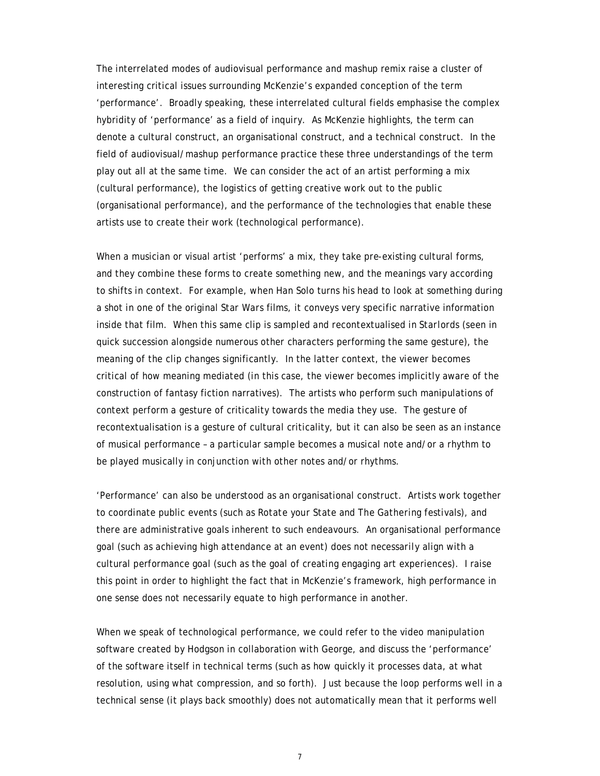The interrelated modes of audiovisual performance and mashup remix raise a cluster of interesting critical issues surrounding McKenzie's expanded conception of the term 'performance'. Broadly speaking, these interrelated cultural fields emphasise the complex hybridity of 'performance' as a field of inquiry. As McKenzie highlights, the term can denote a cultural construct, an organisational construct, and a technical construct. In the field of audiovisual/mashup performance practice these three understandings of the term play out all at the same time. We can consider the act of an artist performing a mix (cultural performance), the logistics of getting creative work out to the public (organisational performance), and the performance of the technologies that enable these artists use to create their work (technological performance).

When a musician or visual artist 'performs' a mix, they take pre-existing cultural forms, and they combine these forms to create something new, and the meanings vary according to shifts in context. For example, when Han Solo turns his head to look at something during a shot in one of the original *Star Wars* films, it conveys very specific narrative information inside that film. When this same clip is sampled and recontextualised in *Starlords* (seen in quick succession alongside numerous other characters performing the same gesture), the meaning of the clip changes significantly. In the latter context, the viewer becomes critical of how meaning mediated (in this case, the viewer becomes implicitly aware of the construction of fantasy fiction narratives). The artists who perform such manipulations of context perform a gesture of criticality towards the media they use. The gesture of recontextualisation is a gesture of cultural criticality, but it can also be seen as an instance of musical performance – a particular sample becomes a musical note and/or a rhythm to be played musically in conjunction with other notes and/or rhythms.

'Performance' can also be understood as an organisational construct. Artists work together to coordinate public events (such as *Rotate your State* and *The Gathering* festivals), and there are administrative goals inherent to such endeavours. An organisational performance goal (such as achieving high attendance at an event) does not *necessarily* align with a cultural performance goal (such as the goal of creating engaging art experiences). I raise this point in order to highlight the fact that in McKenzie's framework, high performance in one sense does not necessarily equate to high performance in another.

When we speak of technological performance, we could refer to the video manipulation software created by Hodgson in collaboration with George, and discuss the 'performance' of the software itself in technical terms (such as how quickly it processes data, at what resolution, using what compression, and so forth). Just because the loop performs well in a technical sense (it plays back smoothly) does not automatically mean that it performs well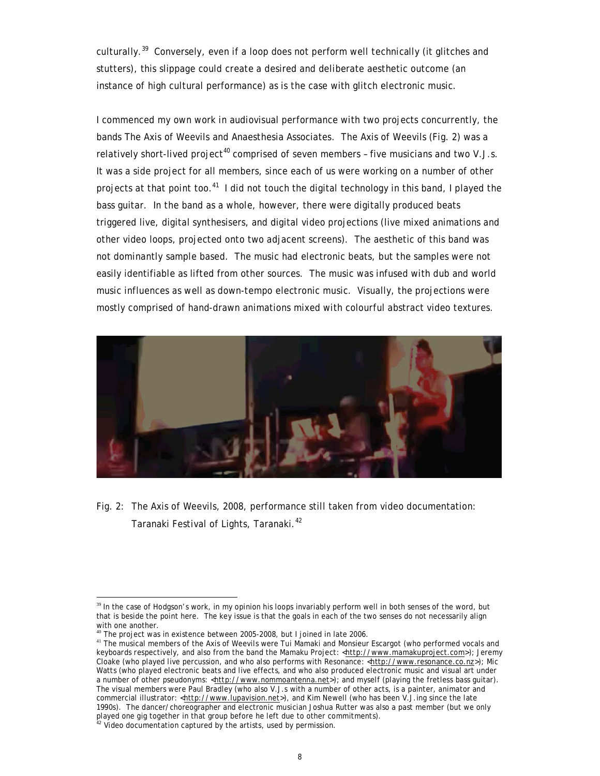culturally.<sup>39</sup> Conversely, even if a loop does not perform well technically (it glitches and stutters), this slippage could create a desired and deliberate aesthetic outcome (an instance of high cultural performance) as is the case with glitch electronic music.

I commenced my own work in audiovisual performance with two projects concurrently, the bands The Axis of Weevils and Anaesthesia Associates. The Axis of Weevils (Fig. 2) was a relatively short-lived project<sup>40</sup> comprised of seven members - five musicians and two V.J.s. It was a side project for all members, since each of us were working on a number of other projects at that point too.<sup>41</sup> I did not touch the digital technology in this band, I played the bass guitar. In the band as a whole, however, there were digitally produced beats triggered live, digital synthesisers, and digital video projections (live mixed animations and other video loops, projected onto two adjacent screens). The aesthetic of this band was not dominantly sample based. The music had electronic beats, but the samples were not easily identifiable as lifted from other sources. The music was infused with dub and world music influences as well as down-tempo electronic music. Visually, the projections were mostly comprised of hand-drawn animations mixed with colourful abstract video textures.



Fig. 2: The Axis of Weevils, 2008, performance still taken from video documentation: Taranaki Festival of Lights, Taranaki.<sup>42</sup>

<sup>&</sup>lt;sup>39</sup> In the case of Hodgson's work, in my opinion his loops invariably perform well in both senses of the word, but that is beside the point here. The key issue is that the goals in each of the two senses do not necessarily align with one another.

 $40$  The project was in existence between 2005-2008, but I joined in late 2006.

<sup>&</sup>lt;sup>41</sup> The musical members of the Axis of Weevils were Tui Mamaki and Monsieur Escargot (who performed vocals and keyboards respectively, and also from the band the Mamaku Project: <http://www.mamakuproject.com>); Jeremy Cloake (who played live percussion, and who also performs with Resonance: <http://www.resonance.co.nz>); Mic Watts (who played electronic beats and live effects, and who also produced electronic music and visual art under a number of other pseudonyms: <http://www.nommoantenna.net>); and myself (playing the fretless bass guitar). The visual members were Paul Bradley (who also V.J.s with a number of other acts, is a painter, animator and commercial illustrator: <http://www.lupavision.net>), and Kim Newell (who has been V.J.ing since the late 1990s). The dancer/choreographer and electronic musician Joshua Rutter was also a past member (but we only played one gig together in that group before he left due to other commitments).

 $2^2$  Video documentation captured by the artists, used by permission.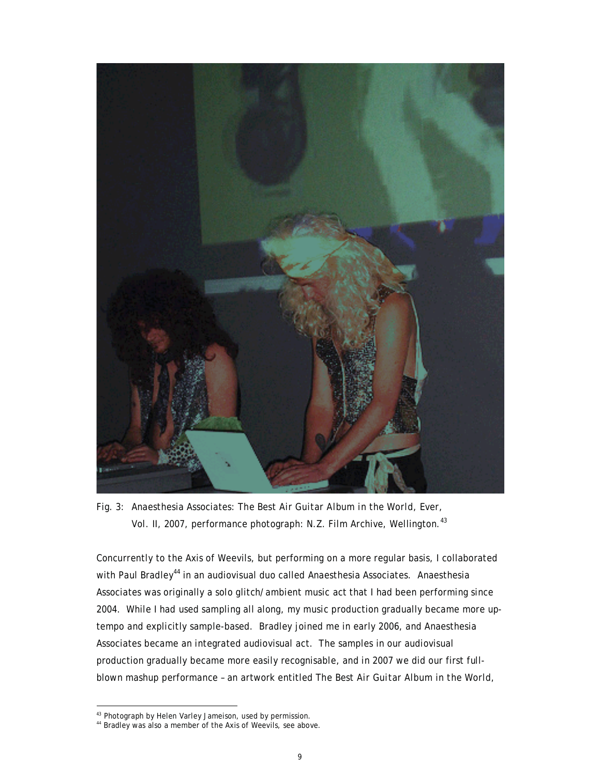

Fig. 3: Anaesthesia Associates: *The Best Air Guitar Album in the World, Ever, Vol. II*, 2007, performance photograph: N.Z. Film Archive, Wellington.<sup>43</sup>

Concurrently to the Axis of Weevils, but performing on a more regular basis, I collaborated with Paul Bradley<sup>44</sup> in an audiovisual duo called Anaesthesia Associates. Anaesthesia Associates was originally a solo glitch/ambient music act that I had been performing since 2004. While I had used sampling all along, my music production gradually became more uptempo and explicitly sample-based. Bradley joined me in early 2006, and Anaesthesia Associates became an integrated audiovisual act. The samples in our audiovisual production gradually became more easily recognisable, and in 2007 we did our first fullblown mashup performance – an artwork entitled *The Best Air Guitar Album in the World,* 

<sup>43</sup> Photograph by Helen Varley Jameison, used by permission.

<sup>&</sup>lt;sup>44</sup> Bradley was also a member of the Axis of Weevils, see above.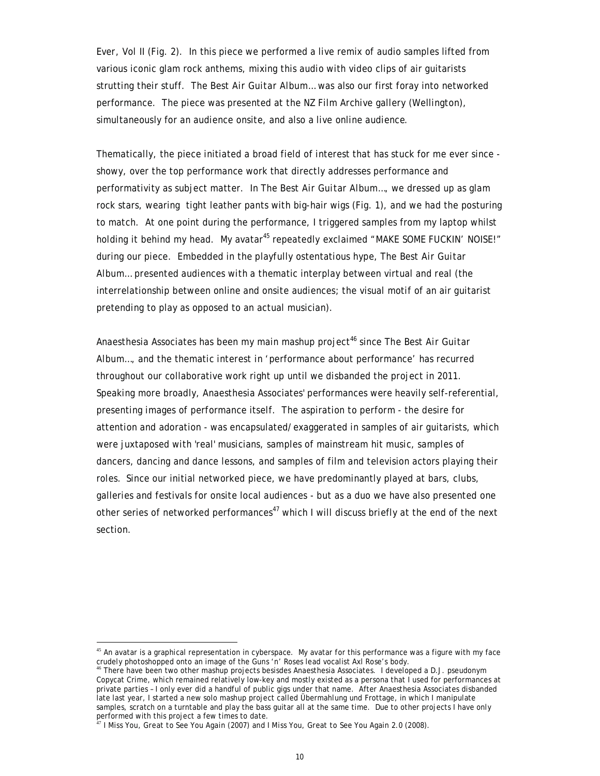*Ever, Vol II* (Fig. 2). In this piece we performed a live remix of audio samples lifted from various iconic glam rock anthems, mixing this audio with video clips of air guitarists strutting their stuff. *The Best Air Guitar Album…* was also our first foray into networked performance. The piece was presented at the NZ Film Archive gallery (Wellington), simultaneously for an audience onsite, and also a live online audience.

Thematically, the piece initiated a broad field of interest that has stuck for me ever since showy, over the top performance work that directly addresses performance and performativity as subject matter. In *The Best Air Guitar Album…*, we dressed up as glam rock stars, wearing tight leather pants with big-hair wigs (Fig. 1), and we had the posturing to match. At one point during the performance, I triggered samples from my laptop whilst holding it behind my head. My avatar<sup>45</sup> repeatedly exclaimed "MAKE SOME FUCKIN' NOISE!" during our piece. Embedded in the playfully ostentatious hype, *The Best Air Guitar Album…* presented audiences with a thematic interplay between virtual and real (the interrelationship between online and onsite audiences; the visual motif of an air guitarist pretending to play as opposed to an actual musician).

Anaesthesia Associates has been my main mashup project<sup>46</sup> since *The Best Air Guitar Album…*, and the thematic interest in 'performance about performance' has recurred throughout our collaborative work right up until we disbanded the project in 2011. Speaking more broadly, Anaesthesia Associates' performances were heavily self-referential, presenting images of performance itself. The aspiration to perform - the desire for attention and adoration - was encapsulated/exaggerated in samples of air guitarists, which were juxtaposed with 'real' musicians, samples of mainstream hit music, samples of dancers, dancing and dance lessons, and samples of film and television actors playing their roles. Since our initial networked piece, we have predominantly played at bars, clubs, galleries and festivals for onsite local audiences - but as a duo we have also presented one other series of networked performances<sup>47</sup> which I will discuss briefly at the end of the next section.

<sup>&</sup>lt;sup>45</sup> An avatar is a graphical representation in cyberspace. My avatar for this performance was a figure with my face crudely photoshopped onto an image of the Guns 'n' Roses lead vocalist Axl Rose's body.

<sup>46</sup> There have been two other mashup projects besisdes Anaesthesia Associates. I developed a D.J. pseudonym Copycat Crime, which remained relatively low-key and mostly existed as a persona that I used for performances at private parties – I only ever did a handful of public gigs under that name. After Anaesthesia Associates disbanded late last year, I started a new solo mashup project called Übermahlung und Frottage, in which I manipulate samples, scratch on a turntable and play the bass guitar all at the same time. Due to other projects I have only performed with this project a few times to date.

<sup>47</sup> *I Miss You, Great to See You Again* (2007) and *I Miss You, Great to See You Again 2.0* (2008).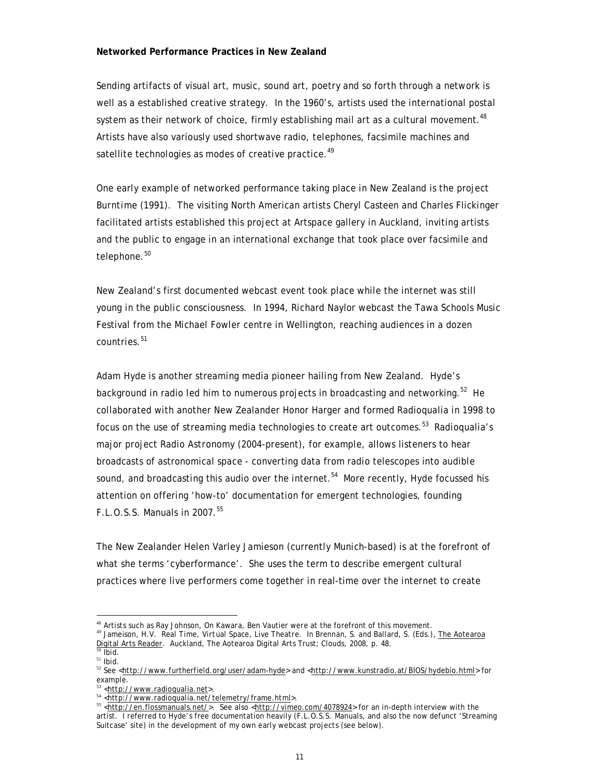## **Networked Performance Practices in New Zealand**

Sending artifacts of visual art, music, sound art, poetry and so forth through a network is well as a established creative strategy. In the 1960's, artists used the international postal system as their network of choice, firmly establishing mail art as a cultural movement.<sup>48</sup> Artists have also variously used shortwave radio, telephones, facsimile machines and satellite technologies as modes of creative practice.<sup>49</sup>

One early example of networked performance taking place in New Zealand is the project *Burntime* (1991). The visiting North American artists Cheryl Casteen and Charles Flickinger facilitated artists established this project at Artspace gallery in Auckland, inviting artists and the public to engage in an international exchange that took place over facsimile and telephone.<sup>50</sup>

New Zealand's first documented webcast event took place while the internet was still young in the public consciousness. In 1994, Richard Naylor webcast the Tawa Schools Music Festival from the Michael Fowler centre in Wellington, reaching audiences in a dozen countries.<sup>51</sup>

Adam Hyde is another streaming media pioneer hailing from New Zealand. Hyde's background in radio led him to numerous projects in broadcasting and networking.<sup>52</sup> He collaborated with another New Zealander Honor Harger and formed Radioqualia in 1998 to focus on the use of streaming media technologies to create art outcomes.<sup>53</sup> Radioqualia's major project *Radio Astronomy* (2004-present), for example, allows listeners to hear broadcasts of astronomical space - converting data from radio telescopes into audible sound, and broadcasting this audio over the internet.<sup>54</sup> More recently, Hyde focussed his attention on offering 'how-to' documentation for emergent technologies, founding F.L.O.S.S. Manuals in 2007.55

The New Zealander Helen Varley Jamieson (currently Munich-based) is at the forefront of what she terms 'cyberformance'. She uses the term to describe emergent cultural practices where live performers come together in real-time over the internet to create

<sup>48</sup> Artists such as Ray Johnson, On Kawara, Ben Vautier were at the forefront of this movement. <sup>49</sup> Jameison, H.V. *Real Time, Virtual Space, Live Theatre*. In Brennan, S. and Ballard, S. (Eds.), The Aotearoa Digital Arts Reader. Auckland, The Aotearoa Digital Arts Trust; Clouds, 2008, p. 48.

<sup>50</sup> Ibid.

 $51$  lbid.

<sup>52</sup> See <http://www.furtherfield.org/user/adam-hyde> and <http://www.kunstradio.at/BIOS/hydebio.html> for example.

<sup>53</sup> <http://www.radioqualia.net>.

<sup>54</sup> <http://www.radioqualia.net/telemetry/frame.html>.

<sup>55 &</sup>lt;http://en.flossmanuals.net/>. See also <http://vimeo.com/4078924> for an in-depth interview with the artist. I referred to Hyde's free documentation heavily (F.L.O.S.S. Manuals, and also the now defunct 'Streaming Suitcase' site) in the development of my own early webcast projects (see below).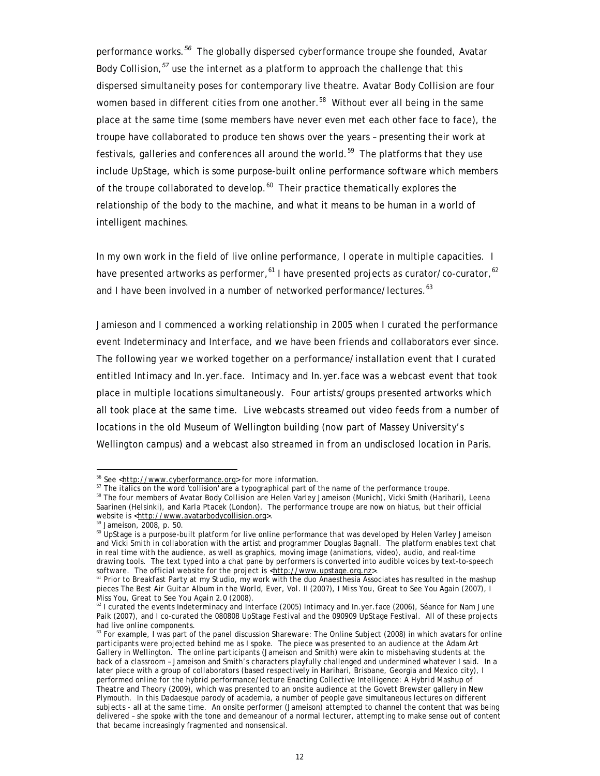performance works.*<sup>56</sup>* The globally dispersed cyberformance troupe she founded, Avatar Body *Collision,<sup>57</sup>* use the internet as a platform to approach the challenge that this dispersed simultaneity poses for contemporary live theatre. Avatar Body *Collision* are four women based in different cities from one another.<sup>58</sup> Without ever all being in the same place at the same time (some members have never even met each other face to face), the troupe have collaborated to produce ten shows over the years – presenting their work at festivals, galleries and conferences all around the world.59 The platforms that they use include UpStage, which is some purpose-built online performance software which members of the troupe collaborated to develop.<sup>60</sup> Their practice thematically explores the relationship of the body to the machine, and what it means to be human in a world of intelligent machines.

In my own work in the field of live online performance, I operate in multiple capacities. I have presented artworks as performer,  $61$  I have presented projects as curator/co-curator,  $62$ and I have been involved in a number of networked performance/lectures.<sup>63</sup>

Jamieson and I commenced a working relationship in 2005 when I curated the performance event *Indeterminacy and Interface*, and we have been friends and collaborators ever since. The following year we worked together on a performance/installation event that I curated entitled *Intimacy and In.yer.face*. *Intimacy and In.yer.face* was a webcast event that took place in multiple locations simultaneously. Four artists/groups presented artworks which all took place at the same time. Live webcasts streamed out video feeds from a number of locations in the old Museum of Wellington building (now part of Massey University's Wellington campus) and a webcast also streamed in from an undisclosed location in Paris.

<sup>59</sup> Jameison, 2008, p. 50.

<sup>&</sup>lt;sup>56</sup> See <http://www.cyberformance.org> for more information.<br>
<sup>57</sup> The italics on the word 'collision' are a typographical part of the name of the performance troupe.

<sup>58</sup> The four members of Avatar Body *Collision* are Helen Varley Jameison (Munich), Vicki Smith (Harihari), Leena Saarinen (Helsinki), and Karla Ptacek (London). The performance troupe are now on hiatus, but their official website is <http://www.avatarbodycollision.org>.

<sup>&</sup>lt;sup>60</sup> UpStage is a purpose-built platform for live online performance that was developed by Helen Varley Jameison and Vicki Smith in collaboration with the artist and programmer Douglas Bagnall. The platform enables text chat in real time with the audience, as well as graphics, moving image (animations, video), audio, and real-time drawing tools. The text typed into a chat pane by performers is converted into audible voices by text-to-speech software. The official website for the project is <http://www.upstage.org.nz>.

<sup>61</sup> Prior to *Breakfast Party at my Studio*, my work with the duo Anaesthesia Associates has resulted in the mashup pieces *The Best Air Guitar Album in the World, Ever, Vol. II* (2007), *I Miss You, Great to See You Again* (2007), *I Miss You, Great to See You Again* 2.0 (2008).

<sup>62</sup> I curated the events *Indeterminacy and Interface* (2005) *Intimacy and In.yer.face* (2006), *Séance for Nam June Paik* (2007), and I co-curated the *080808 UpStage Festival* and the *090909 UpStage Festival*. All of these projects had live online components.

<sup>63</sup> For example, I was part of the panel discussion *Shareware: The Online Subject* (2008) in which avatars for online participants were projected behind me as I spoke. The piece was presented to an audience at the Adam Art Gallery in Wellington. The online participants (Jameison and Smith) were akin to misbehaving students at the back of a classroom – Jameison and Smith's characters playfully challenged and undermined whatever I said. In a later piece with a group of collaborators (based respectively in Harihari, Brisbane, Georgia and Mexico city), I performed online for the hybrid performance/lecture *Enacting Collective Intelligence: A Hybrid Mashup of Theatre and Theory* (2009), which was presented to an onsite audience at the Govett Brewster gallery in New Plymouth. In this Dadaesque parody of academia, a number of people gave simultaneous lectures on different subjects - all at the same time. An onsite performer (Jameison) attempted to channel the content that was being delivered – she spoke with the tone and demeanour of a normal lecturer, attempting to make sense out of content that became increasingly fragmented and nonsensical.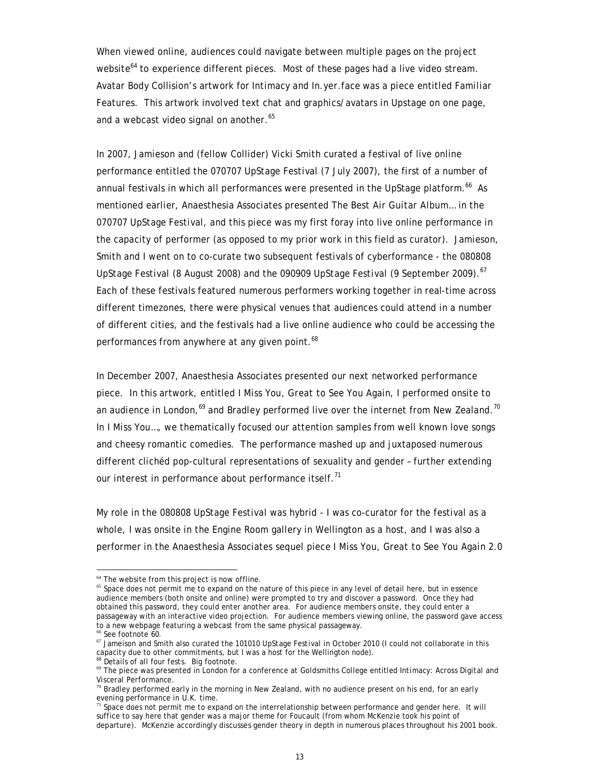When viewed online, audiences could navigate between multiple pages on the project website<sup>64</sup> to experience different pieces. Most of these pages had a live video stream. Avatar Body Collision's artwork for *Intimacy and In.yer.face* was a piece entitled *Familiar Features*. This artwork involved text chat and graphics/avatars in Upstage on one page, and a webcast video signal on another.<sup>65</sup>

In 2007, Jamieson and (fellow Collider) Vicki Smith curated a festival of live online performance entitled the *070707 UpStage Festival* (7 July 2007), the first of a number of annual festivals in which all performances were presented in the UpStage platform.<sup>66</sup> As mentioned earlier, Anaesthesia Associates presented *The Best Air Guitar Album…* in the *070707 UpStage Festival*, and this piece was my first foray into live online performance in the capacity of performer (as opposed to my prior work in this field as curator). Jamieson, Smith and I went on to co-curate two subsequent festivals of cyberformance - the *080808 UpStage Festival* (8 August 2008) and the *090909 UpStage Festival* (9 September 2009).<sup>67</sup> Each of these festivals featured numerous performers working together in real-time across different timezones, there were physical venues that audiences could attend in a number of different cities, and the festivals had a live online audience who could be accessing the performances from anywhere at any given point.<sup>68</sup>

In December 2007, Anaesthesia Associates presented our next networked performance piece. In this artwork, entitled *I Miss You, Great to See You Again*, I performed onsite to an audience in London, $69$  and Bradley performed live over the internet from New Zealand.<sup>70</sup> In *I Miss You…*, we thematically focused our attention samples from well known love songs and cheesy romantic comedies. The performance mashed up and juxtaposed numerous different clichéd pop-cultural representations of sexuality and gender – further extending our interest in performance about performance itself.<sup>71</sup>

My role in the *080808 UpStage Festival* was hybrid - I was co-curator for the festival as a whole, I was onsite in the Engine Room gallery in Wellington as a host, and I was also a performer in the Anaesthesia Associates sequel piece *I Miss You, Great to See You Again 2.0* 

 $64$  The website from this project is now offline.

<sup>&</sup>lt;sup>65</sup> Space does not permit me to expand on the nature of this piece in any level of detail here, but in essence audience members (both onsite and online) were prompted to try and discover a password. Once they had obtained this password, they could enter another area. For audience members onsite, they could enter a passageway with an interactive video projection. For audience members viewing online, the password gave access to a new webpage featuring a webcast from the same physical passageway.

<sup>&</sup>lt;sup>66</sup> See footnote 60.

<sup>67</sup> Jameison and Smith also curated the *101010 UpStage Festival* in October 2010 (I could not collaborate in this capacity due to other commitments, but I was a host for the Wellington node).

Details of all four fests. Big footnote.

<sup>69</sup> The piece was presented in London for a conference at Goldsmiths College entitled *Intimacy: Across Digital and Visceral Performance.*

 $70$  Bradley performed early in the morning in New Zealand, with no audience present on his end, for an early evening performance in U.K. time.

 $71$  Space does not permit me to expand on the interrelationship between performance and gender here. It will suffice to say here that gender was a major theme for Foucault (from whom McKenzie took his point of departure). McKenzie accordingly discusses gender theory in depth in numerous places throughout his 2001 book.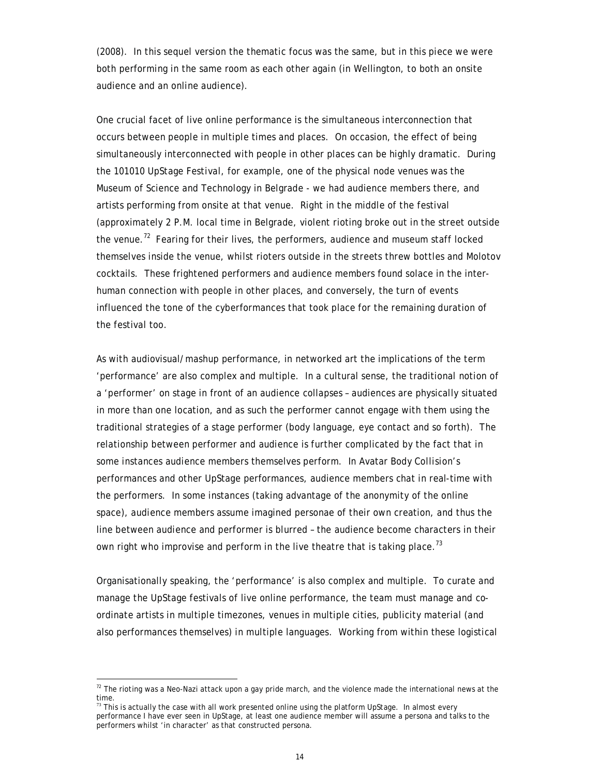(2008). In this sequel version the thematic focus was the same, but in this piece we were both performing in the same room as each other again (in Wellington, to both an onsite audience and an online audience).

One crucial facet of live online performance is the simultaneous interconnection that occurs between people in multiple times and places. On occasion, the effect of being simultaneously interconnected with people in other places can be highly dramatic. During the *101010 UpStage Festival*, for example, one of the physical node venues was the Museum of Science and Technology in Belgrade - we had audience members there, and artists performing from onsite at that venue. Right in the middle of the festival (approximately 2 P.M. local time in Belgrade, violent rioting broke out in the street outside the venue.<sup>72</sup> Fearing for their lives, the performers, audience and museum staff locked themselves inside the venue, whilst rioters outside in the streets threw bottles and Molotov cocktails. These frightened performers and audience members found solace in the interhuman connection with people in other places, and conversely, the turn of events influenced the tone of the cyberformances that took place for the remaining duration of the festival too.

As with audiovisual/mashup performance, in networked art the implications of the term 'performance' are also complex and multiple. In a cultural sense, the traditional notion of a 'performer' on stage in front of an audience collapses – audiences are physically situated in more than one location, and as such the performer cannot engage with them using the traditional strategies of a stage performer (body language, eye contact and so forth). The relationship between performer and audience is further complicated by the fact that in some instances audience members themselves perform. In Avatar Body *Collision*'s performances and other UpStage performances, audience members chat in real-time with the performers. In some instances (taking advantage of the anonymity of the online space), audience members assume imagined personae of their own creation, and thus the line between audience and performer is blurred – the audience become characters in their own right who improvise and perform in the live theatre that is taking place.<sup>73</sup>

Organisationally speaking, the 'performance' is also complex and multiple. To curate and manage the UpStage festivals of live online performance, the team must manage and coordinate artists in multiple timezones, venues in multiple cities, publicity material (and also performances themselves) in multiple languages. Working from within these logistical

 $72$  The rioting was a Neo-Nazi attack upon a gay pride march, and the violence made the international news at the time.

 $\frac{73}{13}$  This is actually the case with all work presented online using the platform UpStage. In almost every performance I have ever seen in UpStage, at least one audience member will assume a persona and talks to the performers whilst 'in character' as that constructed persona.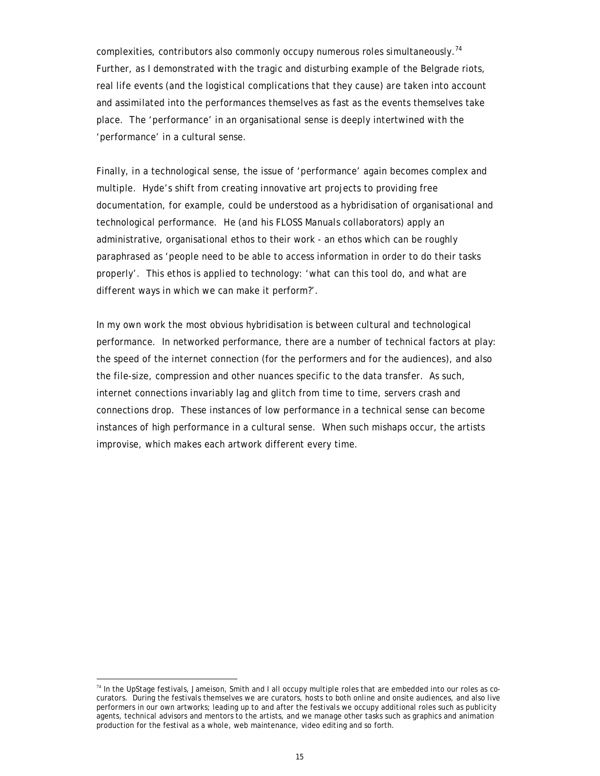complexities, contributors also commonly occupy numerous roles simultaneously.<sup>74</sup> Further, as I demonstrated with the tragic and disturbing example of the Belgrade riots, real life events (and the logistical complications that they cause) are taken into account and assimilated into the performances themselves as fast as the events themselves take place. The 'performance' in an organisational sense is deeply intertwined with the 'performance' in a cultural sense.

Finally, in a technological sense, the issue of 'performance' again becomes complex and multiple. Hyde's shift from creating innovative art projects to providing free documentation, for example, could be understood as a hybridisation of organisational and technological performance. He (and his FLOSS Manuals collaborators) apply an administrative, organisational ethos to their work - an ethos which can be roughly paraphrased as 'people need to be able to access information in order to do their tasks properly'. This ethos is applied to technology: 'what can this tool do, and what are different ways in which we can make it perform?'.

In my own work the most obvious hybridisation is between cultural and technological performance. In networked performance, there are a number of technical factors at play: the speed of the internet connection (for the performers and for the audiences), and also the file-size, compression and other nuances specific to the data transfer. As such, internet connections invariably lag and glitch from time to time, servers crash and connections drop. These instances of low performance in a technical sense can become instances of high performance in a cultural sense. When such mishaps occur, the artists improvise, which makes each artwork different every time.

 $74$  In the UpStage festivals, Jameison, Smith and I all occupy multiple roles that are embedded into our roles as cocurators. During the festivals themselves we are curators, hosts to both online and onsite audiences, and also live performers in our own artworks; leading up to and after the festivals we occupy additional roles such as publicity agents, technical advisors and mentors to the artists, and we manage other tasks such as graphics and animation production for the festival as a whole, web maintenance, video editing and so forth.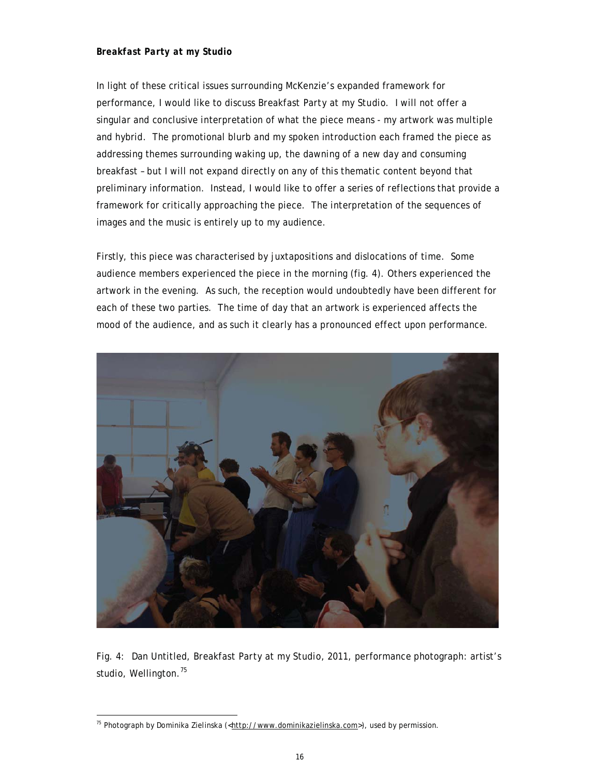## *Breakfast Party at my Studio*

In light of these critical issues surrounding McKenzie's expanded framework for performance, I would like to discuss *Breakfast Party at my Studio*. I will not offer a singular and conclusive interpretation of what the piece means - my artwork was multiple and hybrid. The promotional blurb and my spoken introduction each framed the piece as addressing themes surrounding waking up, the dawning of a new day and consuming breakfast – but I will not expand directly on any of this thematic content beyond that preliminary information. Instead, I would like to offer a series of reflections that provide a framework for critically approaching the piece. The interpretation of the sequences of images and the music is entirely up to my audience.

Firstly, this piece was characterised by juxtapositions and dislocations of time. Some audience members experienced the piece in the morning (fig. 4). Others experienced the artwork in the evening. As such, the reception would undoubtedly have been different for each of these two parties. The time of day that an artwork is experienced affects the mood of the audience, and as such it clearly has a pronounced effect upon performance.



Fig. 4: Dan Untitled, *Breakfast Party at my Studio,* 2011, performance photograph: artist's studio, Wellington.<sup>75</sup>

<sup>&</sup>lt;sup>75</sup> Photograph by Dominika Zielinska (< $\frac{http://www.dominikazielinska.com>}{$ ), used by permission.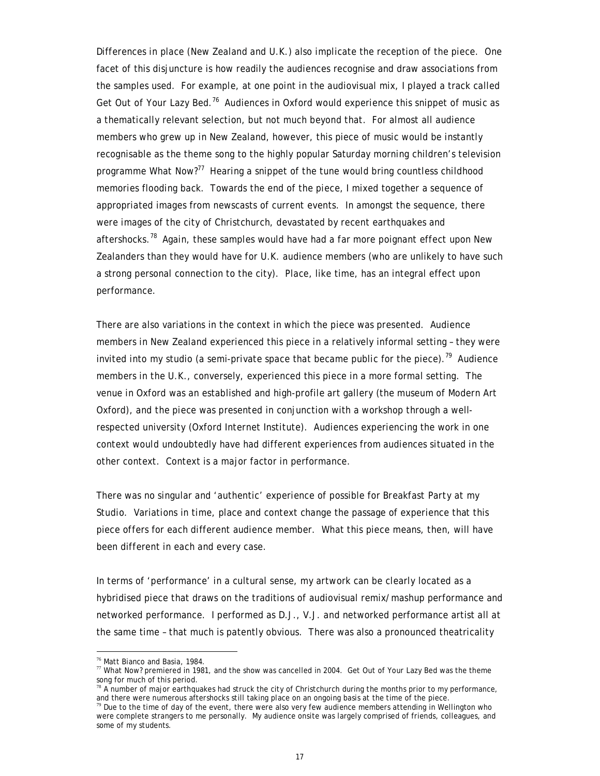Differences in place (New Zealand and U.K.) also implicate the reception of the piece. One facet of this disjuncture is how readily the audiences recognise and draw associations from the samples used. For example, at one point in the audiovisual mix, I played a track called Get Out of Your Lazy Bed.<sup>76</sup> Audiences in Oxford would experience this snippet of music as a thematically relevant selection, but not much beyond that. For almost all audience members who grew up in New Zealand, however, this piece of music would be instantly recognisable as the theme song to the highly popular Saturday morning children's television programme *What Now?*77 Hearing a snippet of the tune would bring countless childhood memories flooding back. Towards the end of the piece, I mixed together a sequence of appropriated images from newscasts of current events. In amongst the sequence, there were images of the city of Christchurch, devastated by recent earthquakes and aftershocks.<sup>78</sup> Again, these samples would have had a far more poignant effect upon New Zealanders than they would have for U.K. audience members (who are unlikely to have such a strong personal connection to the city). Place, like time, has an integral effect upon performance.

There are also variations in the context in which the piece was presented. Audience members in New Zealand experienced this piece in a relatively informal setting – they were invited into my studio (a semi-private space that became public for the piece).<sup>79</sup> Audience members in the U.K., conversely, experienced this piece in a more formal setting. The venue in Oxford was an established and high-profile art gallery (the museum of Modern Art Oxford), and the piece was presented in conjunction with a workshop through a wellrespected university (Oxford Internet Institute). Audiences experiencing the work in one context would undoubtedly have had different experiences from audiences situated in the other context. Context is a major factor in performance.

There was no singular and 'authentic' experience of possible for *Breakfast Party at my Studio*. Variations in time, place and context change the passage of experience that this piece offers for each different audience member. What this piece means, then, will have been different in each and every case.

In terms of 'performance' in a cultural sense, my artwork can be clearly located as a hybridised piece that draws on the traditions of audiovisual remix/mashup performance and networked performance. I performed as D.J., V.J. and networked performance artist all at the same time – that much is patently obvious. There was also a pronounced theatricality

<sup>76</sup> Matt Bianco and Basia, 1984.

<sup>77</sup> *What Now?* premiered in 1981, and the show was cancelled in 2004. *Get Out of Your Lazy Bed* was the theme song for much of this period.

 $78$  A number of major earthquakes had struck the city of Christchurch during the months prior to my performance, and there were numerous aftershocks still taking place on an ongoing basis at the time of the piece.

<sup>&</sup>lt;sup>79</sup> Due to the time of day of the event, there were also very few audience members attending in Wellington who were complete strangers to me personally. My audience onsite was largely comprised of friends, colleagues, and some of my students.